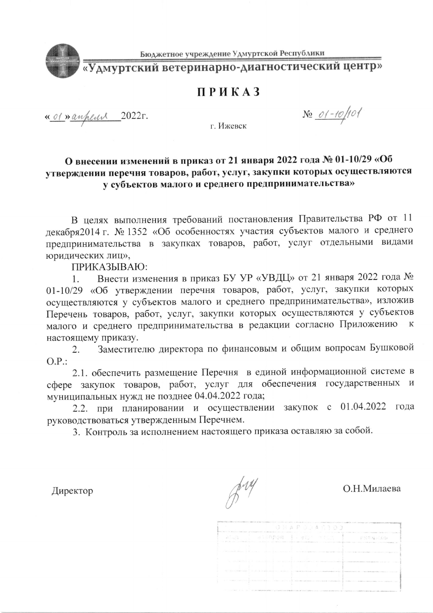

Бюджетное учреждение Удмуртской Республики

«Удмуртский ветеринарно-диагностический центр»

## **ПРИКАЗ**

« of » anheur 2022 r.

г. Ижевск

 $N_2$  01-10/101

## О внесении изменений в приказ от 21 января 2022 года № 01-10/29 «Об утверждении перечня товаров, работ, услуг, закупки которых осуществляются у субъектов малого и среднего предпринимательства»

В целях выполнения требований постановления Правительства РФ от 11 декабря2014 г. № 1352 «Об особенностях участия субъектов малого и среднего предпринимательства в закупках товаров, работ, услуг отдельными видами юридических лиц»,

ПРИКАЗЫВАЮ:

Внести изменения в приказ БУ УР «УВДЦ» от 21 января 2022 года № 1. 01-10/29 «Об утверждении перечня товаров, работ, услуг, закупки которых осуществляются у субъектов малого и среднего предпринимательства», изложив Перечень товаров, работ, услуг, закупки которых осуществляются у субъектов малого и среднего предпринимательства в редакции согласно Приложению к настоящему приказу.

Заместителю директора по финансовым и общим вопросам Бушковой 2.  $O.P.$ 

2.1. обеспечить размещение Перечня в единой информационной системе в сфере закупок товаров, работ, услуг для обеспечения государственных и муниципальных нужд не позднее 04.04.2022 года;

2.2. при планировании и осуществлении закупок с 01.04.2022 года руководствоваться утвержденным Перечнем.

3. Контроль за исполнением настоящего приказа оставляю за собой.

Директор

 $\beta^{\prime\prime\prime}$ 

О.Н.Милаева

|                              | condensation of the American Control of Highway and the control of the property of the Control of the Control of | 0.8449.0103                                                                                                                                                                                                                                                  |                                                                                                                                                                                                                               |
|------------------------------|------------------------------------------------------------------------------------------------------------------|--------------------------------------------------------------------------------------------------------------------------------------------------------------------------------------------------------------------------------------------------------------|-------------------------------------------------------------------------------------------------------------------------------------------------------------------------------------------------------------------------------|
|                              |                                                                                                                  | ALA I alinpon (Jany Mess )<br>An All and contributed in the Control of the All and All and the Contribution of the Contribution of All and All an analysis and the Contribution of the Contribution of the Contribution of the Contribution of the Contribut | FNHN / AG                                                                                                                                                                                                                     |
| the country will collect and | the company's product and                                                                                        |                                                                                                                                                                                                                                                              | A THE REPORT OF DRIVING CONTINUES IN A REPORT OF THE CONTINUES OF THE CONTINUES OF THE RESIDENCE OF THE RELEASE OF THE CONTINUES.                                                                                             |
|                              |                                                                                                                  |                                                                                                                                                                                                                                                              | The first start of the state of a market of the construction and problem absolute and compared to the state of the construction of the con-                                                                                   |
|                              |                                                                                                                  | Talker and the local construction of a superficient and plans of the construction                                                                                                                                                                            | The advertising the state of the con-                                                                                                                                                                                         |
|                              |                                                                                                                  | 1. Include the materials research contracts and power that the reason of contact of the stage of the stage of the stage of the stage of the stage of the stage of the stage of the stage of the stage of the stage of the stag                               |                                                                                                                                                                                                                               |
|                              |                                                                                                                  |                                                                                                                                                                                                                                                              | Entrance in the United States of the Constitution of the Australian Constitution of the Constitution of the Constitution of Constitution of Constitution of the Australian Constitution of the Australian Constitution of the |